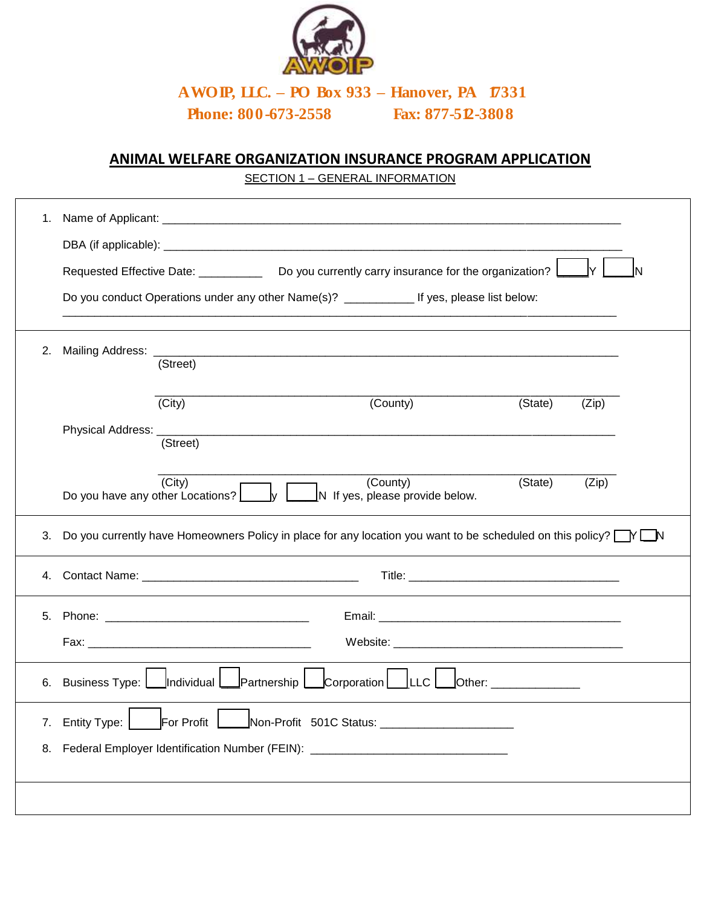

**AWOIP, LLC. – PO Box 933 – Hanover, PA 17331 Phone: 800-673-2558 Fax: 877-512-3808**

## **ANIMAL WELFARE ORGANIZATION INSURANCE PROGRAM APPLICATION**

SECTION 1 – GENERAL INFORMATION

| 1. |                                                                                                                                 |          |  |                                                                                                |                                                                                                                            |       |  |  |
|----|---------------------------------------------------------------------------------------------------------------------------------|----------|--|------------------------------------------------------------------------------------------------|----------------------------------------------------------------------------------------------------------------------------|-------|--|--|
|    |                                                                                                                                 |          |  |                                                                                                |                                                                                                                            |       |  |  |
|    |                                                                                                                                 |          |  | Requested Effective Date: _____________ Do you currently carry insurance for the organization? |                                                                                                                            |       |  |  |
|    | Do you conduct Operations under any other Name(s)? ______________ If yes, please list below:                                    |          |  |                                                                                                |                                                                                                                            |       |  |  |
| 2. |                                                                                                                                 | (Street) |  |                                                                                                |                                                                                                                            |       |  |  |
|    |                                                                                                                                 | (City)   |  | (County)                                                                                       | (State)                                                                                                                    | (Zip) |  |  |
|    | Physical Address: __                                                                                                            | (Street) |  |                                                                                                |                                                                                                                            |       |  |  |
|    | Do you have any other Locations?                                                                                                | (City)   |  | (County)<br>N If yes, please provide below.                                                    | (State)                                                                                                                    | (Zip) |  |  |
| 3. |                                                                                                                                 |          |  |                                                                                                | Do you currently have Homeowners Policy in place for any location you want to be scheduled on this policy? $\Box Y \Box N$ |       |  |  |
| 4. |                                                                                                                                 |          |  |                                                                                                |                                                                                                                            |       |  |  |
| 5. |                                                                                                                                 |          |  |                                                                                                |                                                                                                                            |       |  |  |
|    |                                                                                                                                 |          |  |                                                                                                |                                                                                                                            |       |  |  |
| 6. | Individual<br>Partnership $\bigsqcup$<br>$\lfloor$ Corporation $\rfloor$<br> LLC <br>Business Type:  <br>Other: _______________ |          |  |                                                                                                |                                                                                                                            |       |  |  |
| 7. | For Profit<br>Non-Profit 501C Status: _________________________<br><b>Entity Type:</b>                                          |          |  |                                                                                                |                                                                                                                            |       |  |  |
| 8. | Federal Employer Identification Number (FEIN): _________________________________                                                |          |  |                                                                                                |                                                                                                                            |       |  |  |
|    |                                                                                                                                 |          |  |                                                                                                |                                                                                                                            |       |  |  |